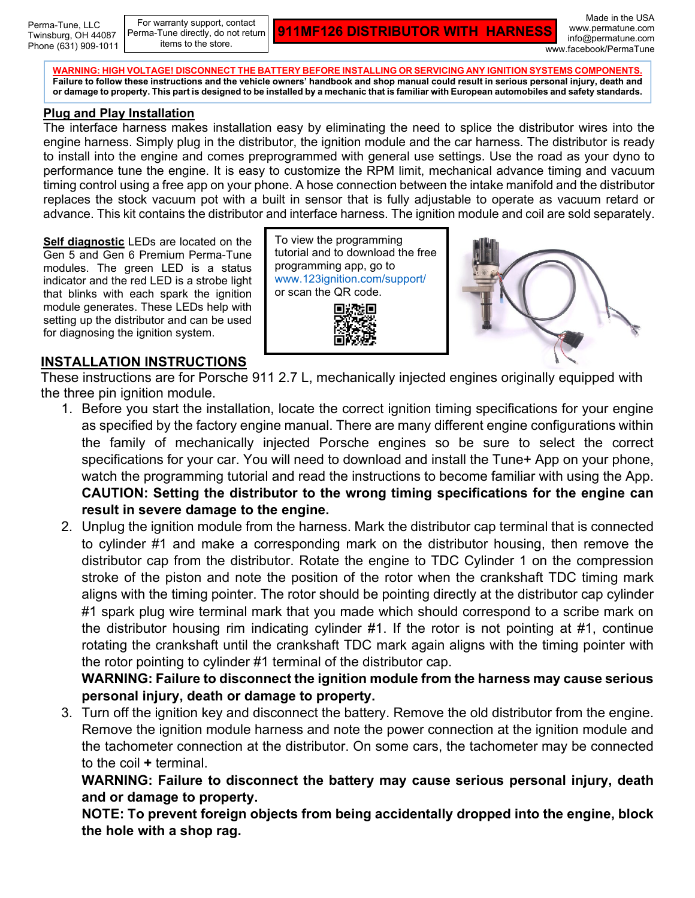Perma-Tune, LLC Twinsburg, OH 44087 Phone (631) 909-1011

For warranty support, contact Perma-Tune directly, do not return items to the store.

**911MF126 DISTRIBUTOR WITH HARNESS**

Made in the USA www.permatune.com info@permatune.com www.facebook/PermaTune

**WARNING: HIGH VOLTAGE! DISCONNECT THE BATTERY BEFORE INSTALLING OR SERVICING ANY IGNITION SYSTEMS COMPONENTS. Failure to follow these instructions and the vehicle owners' handbook and shop manual could result in serious personal injury, death and or damage to property. This part is designed to be installed by a mechanic that is familiar with European automobiles and safety standards.**

## **Plug and Play Installation**

The interface harness makes installation easy by eliminating the need to splice the distributor wires into the engine harness. Simply plug in the distributor, the ignition module and the car harness. The distributor is ready to install into the engine and comes preprogrammed with general use settings. Use the road as your dyno to performance tune the engine. It is easy to customize the RPM limit, mechanical advance timing and vacuum timing control using a free app on your phone. A hose connection between the intake manifold and the distributor replaces the stock vacuum pot with a built in sensor that is fully adjustable to operate as vacuum retard or advance. This kit contains the distributor and interface harness. The ignition module and coil are sold separately.

**Self diagnostic** LEDs are located on the Gen 5 and Gen 6 Premium Perma-Tune modules. The green LED is a status indicator and the red LED is a strobe light that blinks with each spark the ignition module generates. These LEDs help with setting up the distributor and can be used for diagnosing the ignition system.

## To view the programming tutorial and to download the free programming app, go to [www.123ignition.com/support/](http://www.123ignition.com/support/) or scan the QR code.

## **INSTALLATION INSTRUCTIONS**

These instructions are for Porsche 911 2.7 L, mechanically injected engines originally equipped with the three pin ignition module.

- 1. Before you start the installation, locate the correct ignition timing specifications for your engine as specified by the factory engine manual. There are many different engine configurations within the family of mechanically injected Porsche engines so be sure to select the correct specifications for your car. You will need to download and install the Tune+ App on your phone, watch the programming tutorial and read the instructions to become familiar with using the App. **CAUTION: Setting the distributor to the wrong timing specifications for the engine can result in severe damage to the engine.**
- 2. Unplug the ignition module from the harness. Mark the distributor cap terminal that is connected to cylinder #1 and make a corresponding mark on the distributor housing, then remove the distributor cap from the distributor. Rotate the engine to TDC Cylinder 1 on the compression stroke of the piston and note the position of the rotor when the crankshaft TDC timing mark aligns with the timing pointer. The rotor should be pointing directly at the distributor cap cylinder #1 spark plug wire terminal mark that you made which should correspond to a scribe mark on the distributor housing rim indicating cylinder #1. If the rotor is not pointing at #1, continue rotating the crankshaft until the crankshaft TDC mark again aligns with the timing pointer with the rotor pointing to cylinder #1 terminal of the distributor cap.

**WARNING: Failure to disconnect the ignition module from the harness may cause serious personal injury, death or damage to property.**

3. Turn off the ignition key and disconnect the battery. Remove the old distributor from the engine. Remove the ignition module harness and note the power connection at the ignition module and the tachometer connection at the distributor. On some cars, the tachometer may be connected to the coil **+** terminal.

**WARNING: Failure to disconnect the battery may cause serious personal injury, death and or damage to property.** 

**NOTE: To prevent foreign objects from being accidentally dropped into the engine, block the hole with a shop rag.**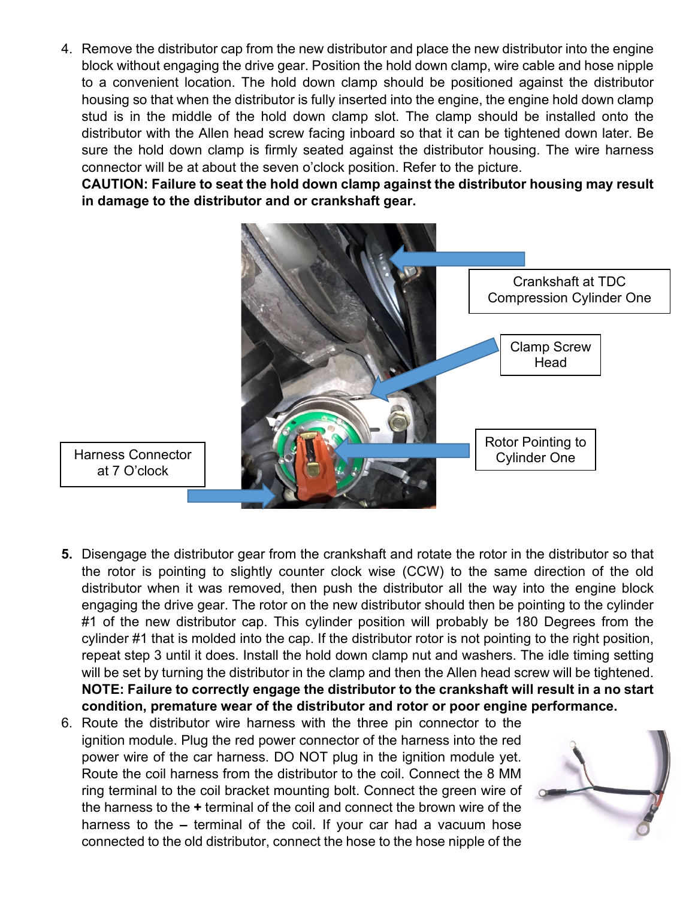4. Remove the distributor cap from the new distributor and place the new distributor into the engine block without engaging the drive gear. Position the hold down clamp, wire cable and hose nipple to a convenient location. The hold down clamp should be positioned against the distributor housing so that when the distributor is fully inserted into the engine, the engine hold down clamp stud is in the middle of the hold down clamp slot. The clamp should be installed onto the distributor with the Allen head screw facing inboard so that it can be tightened down later. Be sure the hold down clamp is firmly seated against the distributor housing. The wire harness connector will be at about the seven o'clock position. Refer to the picture.

**CAUTION: Failure to seat the hold down clamp against the distributor housing may result in damage to the distributor and or crankshaft gear.**



- at 7 O'clock
- **5.** Disengage the distributor gear from the crankshaft and rotate the rotor in the distributor so that the rotor is pointing to slightly counter clock wise (CCW) to the same direction of the old distributor when it was removed, then push the distributor all the way into the engine block engaging the drive gear. The rotor on the new distributor should then be pointing to the cylinder #1 of the new distributor cap. This cylinder position will probably be 180 Degrees from the cylinder #1 that is molded into the cap. If the distributor rotor is not pointing to the right position, repeat step 3 until it does. Install the hold down clamp nut and washers. The idle timing setting will be set by turning the distributor in the clamp and then the Allen head screw will be tightened. **NOTE: Failure to correctly engage the distributor to the crankshaft will result in a no start condition, premature wear of the distributor and rotor or poor engine performance.**
- 6. Route the distributor wire harness with the three pin connector to the ignition module. Plug the red power connector of the harness into the red power wire of the car harness. DO NOT plug in the ignition module yet. Route the coil harness from the distributor to the coil. Connect the 8 MM ring terminal to the coil bracket mounting bolt. Connect the green wire of the harness to the **+** terminal of the coil and connect the brown wire of the harness to the **–** terminal of the coil. If your car had a vacuum hose connected to the old distributor, connect the hose to the hose nipple of the

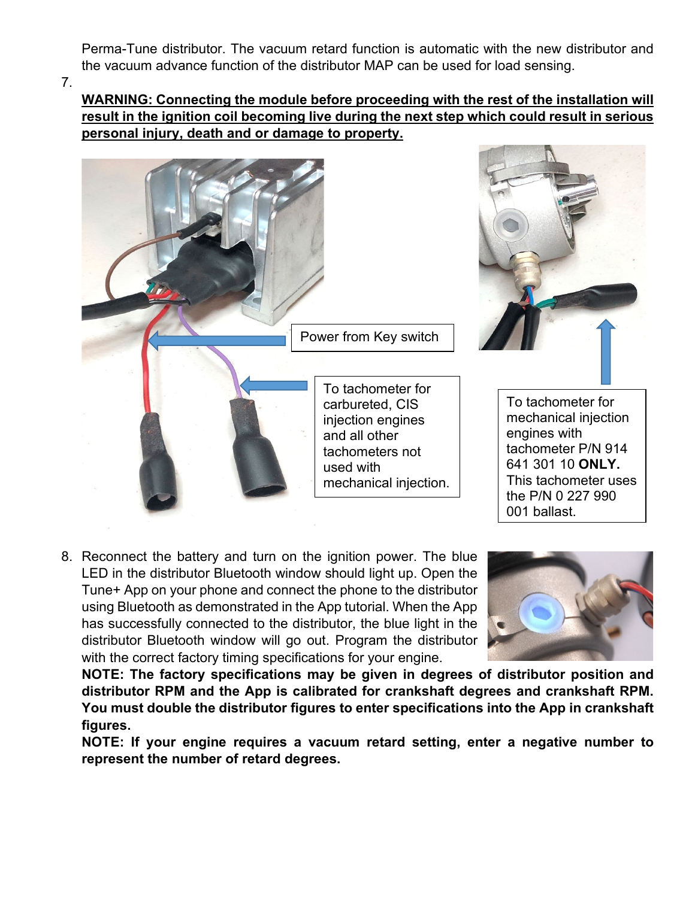Perma-Tune distributor. The vacuum retard function is automatic with the new distributor and the vacuum advance function of the distributor MAP can be used for load sensing.

7.

**WARNING: Connecting the module before proceeding with the rest of the installation will result in the ignition coil becoming live during the next step which could result in serious personal injury, death and or damage to property.**



8. Reconnect the battery and turn on the ignition power. The blue LED in the distributor Bluetooth window should light up. Open the Tune+ App on your phone and connect the phone to the distributor using Bluetooth as demonstrated in the App tutorial. When the App has successfully connected to the distributor, the blue light in the distributor Bluetooth window will go out. Program the distributor with the correct factory timing specifications for your engine.



**NOTE: The factory specifications may be given in degrees of distributor position and distributor RPM and the App is calibrated for crankshaft degrees and crankshaft RPM. You must double the distributor figures to enter specifications into the App in crankshaft figures.**

**NOTE: If your engine requires a vacuum retard setting, enter a negative number to represent the number of retard degrees.**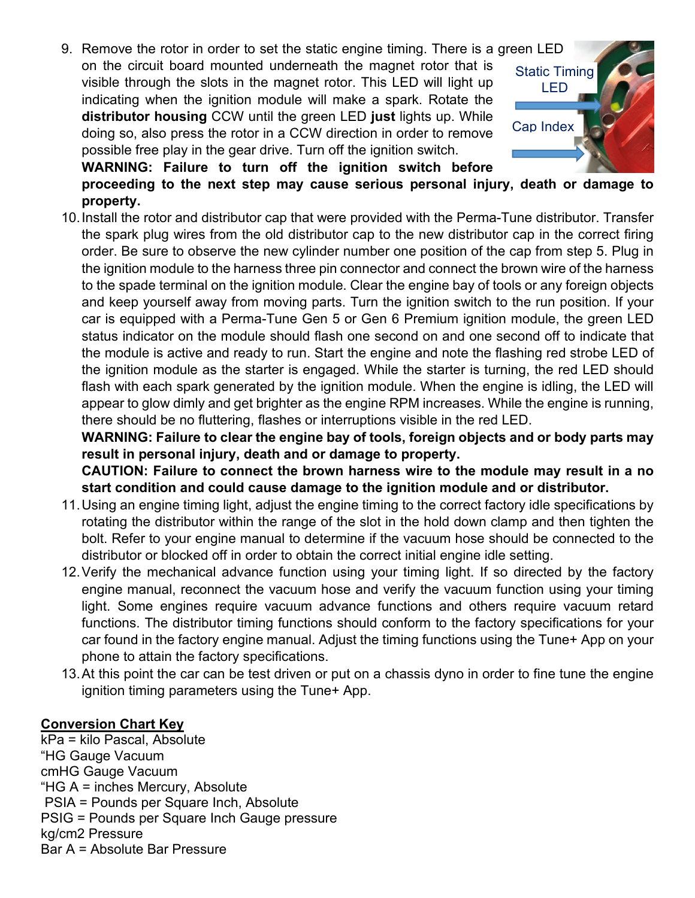9. Remove the rotor in order to set the static engine timing. There is a green LED on the circuit board mounted underneath the magnet rotor that is visible through the slots in the magnet rotor. This LED will light up indicating when the ignition module will make a spark. Rotate the **distributor housing** CCW until the green LED **just** lights up. While doing so, also press the rotor in a CCW direction in order to remove possible free play in the gear drive. Turn off the ignition switch.



**WARNING: Failure to turn off the ignition switch before proceeding to the next step may cause serious personal injury, death or damage to property.**

10.Install the rotor and distributor cap that were provided with the Perma-Tune distributor. Transfer the spark plug wires from the old distributor cap to the new distributor cap in the correct firing order. Be sure to observe the new cylinder number one position of the cap from step 5. Plug in the ignition module to the harness three pin connector and connect the brown wire of the harness to the spade terminal on the ignition module. Clear the engine bay of tools or any foreign objects and keep yourself away from moving parts. Turn the ignition switch to the run position. If your car is equipped with a Perma-Tune Gen 5 or Gen 6 Premium ignition module, the green LED status indicator on the module should flash one second on and one second off to indicate that the module is active and ready to run. Start the engine and note the flashing red strobe LED of the ignition module as the starter is engaged. While the starter is turning, the red LED should flash with each spark generated by the ignition module. When the engine is idling, the LED will appear to glow dimly and get brighter as the engine RPM increases. While the engine is running, there should be no fluttering, flashes or interruptions visible in the red LED.

**WARNING: Failure to clear the engine bay of tools, foreign objects and or body parts may result in personal injury, death and or damage to property.**

**CAUTION: Failure to connect the brown harness wire to the module may result in a no start condition and could cause damage to the ignition module and or distributor.**

- 11.Using an engine timing light, adjust the engine timing to the correct factory idle specifications by rotating the distributor within the range of the slot in the hold down clamp and then tighten the bolt. Refer to your engine manual to determine if the vacuum hose should be connected to the distributor or blocked off in order to obtain the correct initial engine idle setting.
- 12.Verify the mechanical advance function using your timing light. If so directed by the factory engine manual, reconnect the vacuum hose and verify the vacuum function using your timing light. Some engines require vacuum advance functions and others require vacuum retard functions. The distributor timing functions should conform to the factory specifications for your car found in the factory engine manual. Adjust the timing functions using the Tune+ App on your phone to attain the factory specifications.
- 13.At this point the car can be test driven or put on a chassis dyno in order to fine tune the engine ignition timing parameters using the Tune+ App.

## **Conversion Chart Key**

kPa = kilo Pascal, Absolute "HG Gauge Vacuum cmHG Gauge Vacuum "HG A = inches Mercury, Absolute PSIA = Pounds per Square Inch, Absolute PSIG = Pounds per Square Inch Gauge pressure kg/cm2 Pressure Bar A = Absolute Bar Pressure